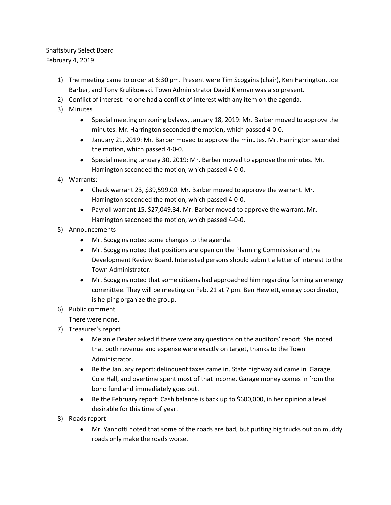## Shaftsbury Select Board February 4, 2019

- 1) The meeting came to order at 6:30 pm. Present were Tim Scoggins (chair), Ken Harrington, Joe Barber, and Tony Krulikowski. Town Administrator David Kiernan was also present.
- 2) Conflict of interest: no one had a conflict of interest with any item on the agenda.
- 3) Minutes
	- Special meeting on zoning bylaws, January 18, 2019: Mr. Barber moved to approve the minutes. Mr. Harrington seconded the motion, which passed 4-0-0.
	- January 21, 2019: Mr. Barber moved to approve the minutes. Mr. Harrington seconded the motion, which passed 4-0-0.
	- Special meeting January 30, 2019: Mr. Barber moved to approve the minutes. Mr. Harrington seconded the motion, which passed 4-0-0.
- 4) Warrants:
	- Check warrant 23, \$39,599.00. Mr. Barber moved to approve the warrant. Mr. Harrington seconded the motion, which passed 4-0-0.
	- Payroll warrant 15, \$27,049.34. Mr. Barber moved to approve the warrant. Mr. Harrington seconded the motion, which passed 4-0-0.
- 5) Announcements
	- Mr. Scoggins noted some changes to the agenda.
	- Mr. Scoggins noted that positions are open on the Planning Commission and the Development Review Board. Interested persons should submit a letter of interest to the Town Administrator.
	- Mr. Scoggins noted that some citizens had approached him regarding forming an energy committee. They will be meeting on Feb. 21 at 7 pm. Ben Hewlett, energy coordinator, is helping organize the group.
- 6) Public comment

There were none.

- 7) Treasurer's report
	- Melanie Dexter asked if there were any questions on the auditors' report. She noted that both revenue and expense were exactly on target, thanks to the Town Administrator.
	- Re the January report: delinquent taxes came in. State highway aid came in. Garage, Cole Hall, and overtime spent most of that income. Garage money comes in from the bond fund and immediately goes out.
	- Re the February report: Cash balance is back up to \$600,000, in her opinion a level desirable for this time of year.
- 8) Roads report
	- Mr. Yannotti noted that some of the roads are bad, but putting big trucks out on muddy roads only make the roads worse.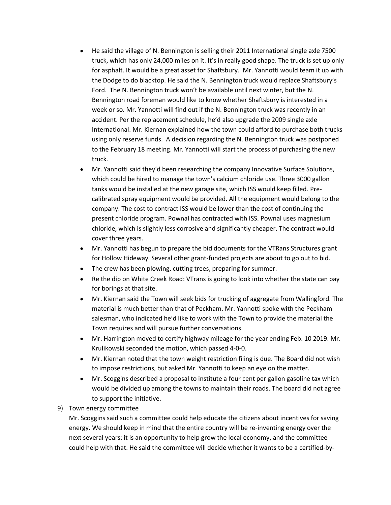- He said the village of N. Bennington is selling their 2011 International single axle 7500 truck, which has only 24,000 miles on it. It's in really good shape. The truck is set up only for asphalt. It would be a great asset for Shaftsbury. Mr. Yannotti would team it up with the Dodge to do blacktop. He said the N. Bennington truck would replace Shaftsbury's Ford. The N. Bennington truck won't be available until next winter, but the N. Bennington road foreman would like to know whether Shaftsbury is interested in a week or so. Mr. Yannotti will find out if the N. Bennington truck was recently in an accident. Per the replacement schedule, he'd also upgrade the 2009 single axle International. Mr. Kiernan explained how the town could afford to purchase both trucks using only reserve funds. A decision regarding the N. Bennington truck was postponed to the February 18 meeting. Mr. Yannotti will start the process of purchasing the new truck.
- Mr. Yannotti said they'd been researching the company Innovative Surface Solutions, which could be hired to manage the town's calcium chloride use. Three 3000 gallon tanks would be installed at the new garage site, which ISS would keep filled. Precalibrated spray equipment would be provided. All the equipment would belong to the company. The cost to contract ISS would be lower than the cost of continuing the present chloride program. Pownal has contracted with ISS. Pownal uses magnesium chloride, which is slightly less corrosive and significantly cheaper. The contract would cover three years.
- Mr. Yannotti has begun to prepare the bid documents for the VTRans Structures grant for Hollow Hideway. Several other grant-funded projects are about to go out to bid.
- The crew has been plowing, cutting trees, preparing for summer.
- Re the dip on White Creek Road: VTrans is going to look into whether the state can pay for borings at that site.
- Mr. Kiernan said the Town will seek bids for trucking of aggregate from Wallingford. The material is much better than that of Peckham. Mr. Yannotti spoke with the Peckham salesman, who indicated he'd like to work with the Town to provide the material the Town requires and will pursue further conversations.
- Mr. Harrington moved to certify highway mileage for the year ending Feb. 10 2019. Mr. Krulikowski seconded the motion, which passed 4-0-0.
- Mr. Kiernan noted that the town weight restriction filing is due. The Board did not wish to impose restrictions, but asked Mr. Yannotti to keep an eye on the matter.
- Mr. Scoggins described a proposal to institute a four cent per gallon gasoline tax which would be divided up among the towns to maintain their roads. The board did not agree to support the initiative.
- 9) Town energy committee

Mr. Scoggins said such a committee could help educate the citizens about incentives for saving energy. We should keep in mind that the entire country will be re-inventing energy over the next several years: it is an opportunity to help grow the local economy, and the committee could help with that. He said the committee will decide whether it wants to be a certified-by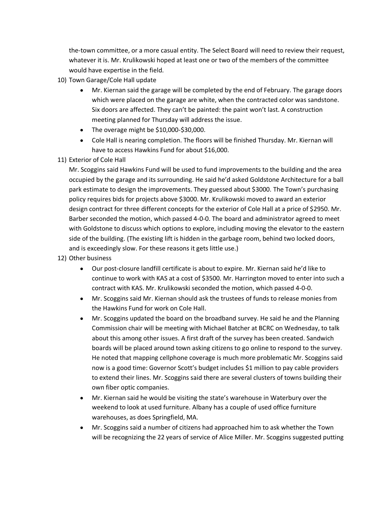the-town committee, or a more casual entity. The Select Board will need to review their request, whatever it is. Mr. Krulikowski hoped at least one or two of the members of the committee would have expertise in the field.

- 10) Town Garage/Cole Hall update
	- Mr. Kiernan said the garage will be completed by the end of February. The garage doors which were placed on the garage are white, when the contracted color was sandstone. Six doors are affected. They can't be painted: the paint won't last. A construction meeting planned for Thursday will address the issue.
	- The overage might be \$10,000-\$30,000.
	- Cole Hall is nearing completion. The floors will be finished Thursday. Mr. Kiernan will have to access Hawkins Fund for about \$16,000.
- 11) Exterior of Cole Hall

Mr. Scoggins said Hawkins Fund will be used to fund improvements to the building and the area occupied by the garage and its surrounding. He said he'd asked Goldstone Architecture for a ball park estimate to design the improvements. They guessed about \$3000. The Town's purchasing policy requires bids for projects above \$3000. Mr. Krulikowski moved to award an exterior design contract for three different concepts for the exterior of Cole Hall at a price of \$2950. Mr. Barber seconded the motion, which passed 4-0-0. The board and administrator agreed to meet with Goldstone to discuss which options to explore, including moving the elevator to the eastern side of the building. (The existing lift is hidden in the garbage room, behind two locked doors, and is exceedingly slow. For these reasons it gets little use.)

- 12) Other business
	- Our post-closure landfill certificate is about to expire. Mr. Kiernan said he'd like to continue to work with KAS at a cost of \$3500. Mr. Harrington moved to enter into such a contract with KAS. Mr. Krulikowski seconded the motion, which passed 4-0-0.
	- Mr. Scoggins said Mr. Kiernan should ask the trustees of funds to release monies from the Hawkins Fund for work on Cole Hall.
	- Mr. Scoggins updated the board on the broadband survey. He said he and the Planning Commission chair will be meeting with Michael Batcher at BCRC on Wednesday, to talk about this among other issues. A first draft of the survey has been created. Sandwich boards will be placed around town asking citizens to go online to respond to the survey. He noted that mapping cellphone coverage is much more problematic Mr. Scoggins said now is a good time: Governor Scott's budget includes \$1 million to pay cable providers to extend their lines. Mr. Scoggins said there are several clusters of towns building their own fiber optic companies.
	- Mr. Kiernan said he would be visiting the state's warehouse in Waterbury over the weekend to look at used furniture. Albany has a couple of used office furniture warehouses, as does Springfield, MA.
	- Mr. Scoggins said a number of citizens had approached him to ask whether the Town will be recognizing the 22 years of service of Alice Miller. Mr. Scoggins suggested putting